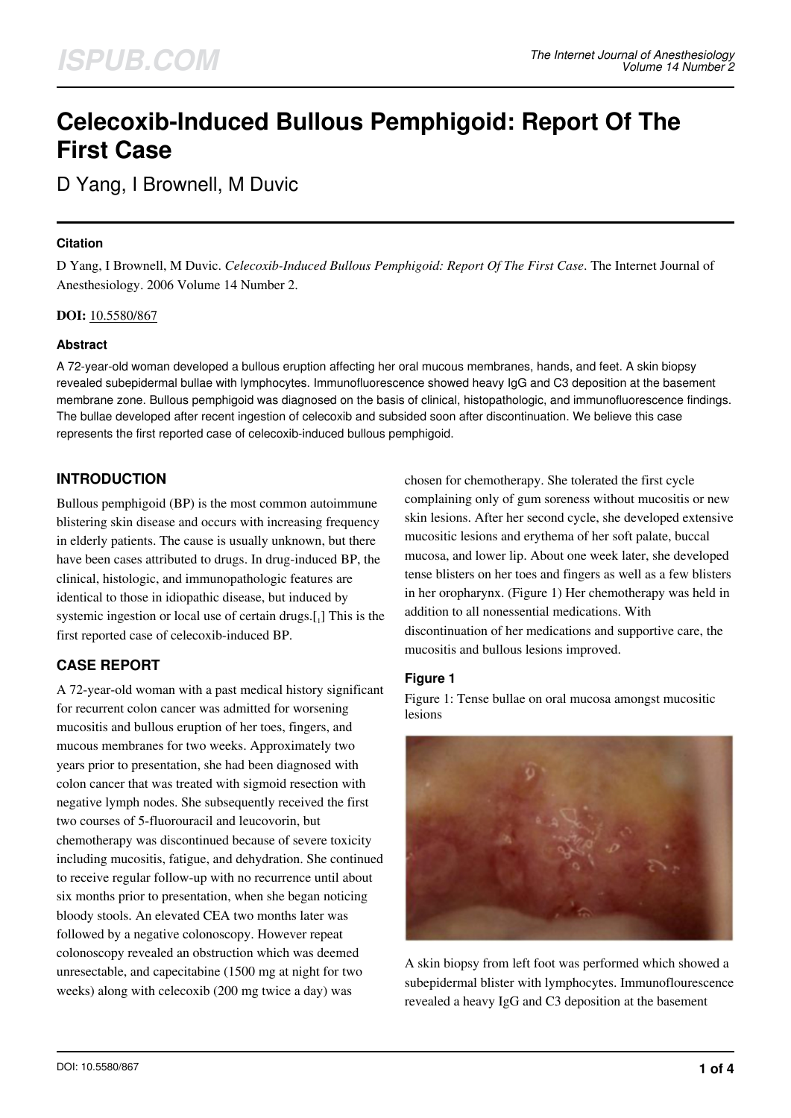# **Celecoxib-Induced Bullous Pemphigoid: Report Of The First Case**

D Yang, I Brownell, M Duvic

### **Citation**

D Yang, I Brownell, M Duvic. *Celecoxib-Induced Bullous Pemphigoid: Report Of The First Case*. The Internet Journal of Anesthesiology. 2006 Volume 14 Number 2.

**DOI:** [10.5580/867](https://ispub.com/doi/10.5580/867)

## **Abstract**

A 72-year-old woman developed a bullous eruption affecting her oral mucous membranes, hands, and feet. A skin biopsy revealed subepidermal bullae with lymphocytes. Immunofluorescence showed heavy IgG and C3 deposition at the basement membrane zone. Bullous pemphigoid was diagnosed on the basis of clinical, histopathologic, and immunofluorescence findings. The bullae developed after recent ingestion of celecoxib and subsided soon after discontinuation. We believe this case represents the first reported case of celecoxib-induced bullous pemphigoid.

# **INTRODUCTION**

Bullous pemphigoid (BP) is the most common autoimmune blistering skin disease and occurs with increasing frequency in elderly patients. The cause is usually unknown, but there have been cases attributed to drugs. In drug-induced BP, the clinical, histologic, and immunopathologic features are identical to those in idiopathic disease, but induced by systemic ingestion or local use of certain drugs.[1] This is the first reported case of celecoxib-induced BP.

# **CASE REPORT**

A 72-year-old woman with a past medical history significant for recurrent colon cancer was admitted for worsening mucositis and bullous eruption of her toes, fingers, and mucous membranes for two weeks. Approximately two years prior to presentation, she had been diagnosed with colon cancer that was treated with sigmoid resection with negative lymph nodes. She subsequently received the first two courses of 5-fluorouracil and leucovorin, but chemotherapy was discontinued because of severe toxicity including mucositis, fatigue, and dehydration. She continued to receive regular follow-up with no recurrence until about six months prior to presentation, when she began noticing bloody stools. An elevated CEA two months later was followed by a negative colonoscopy. However repeat colonoscopy revealed an obstruction which was deemed unresectable, and capecitabine (1500 mg at night for two weeks) along with celecoxib (200 mg twice a day) was

chosen for chemotherapy. She tolerated the first cycle complaining only of gum soreness without mucositis or new skin lesions. After her second cycle, she developed extensive mucositic lesions and erythema of her soft palate, buccal mucosa, and lower lip. About one week later, she developed tense blisters on her toes and fingers as well as a few blisters in her oropharynx. (Figure 1) Her chemotherapy was held in addition to all nonessential medications. With discontinuation of her medications and supportive care, the mucositis and bullous lesions improved.

# **Figure 1**

Figure 1: Tense bullae on oral mucosa amongst mucositic lesions



A skin biopsy from left foot was performed which showed a subepidermal blister with lymphocytes. Immunoflourescence revealed a heavy IgG and C3 deposition at the basement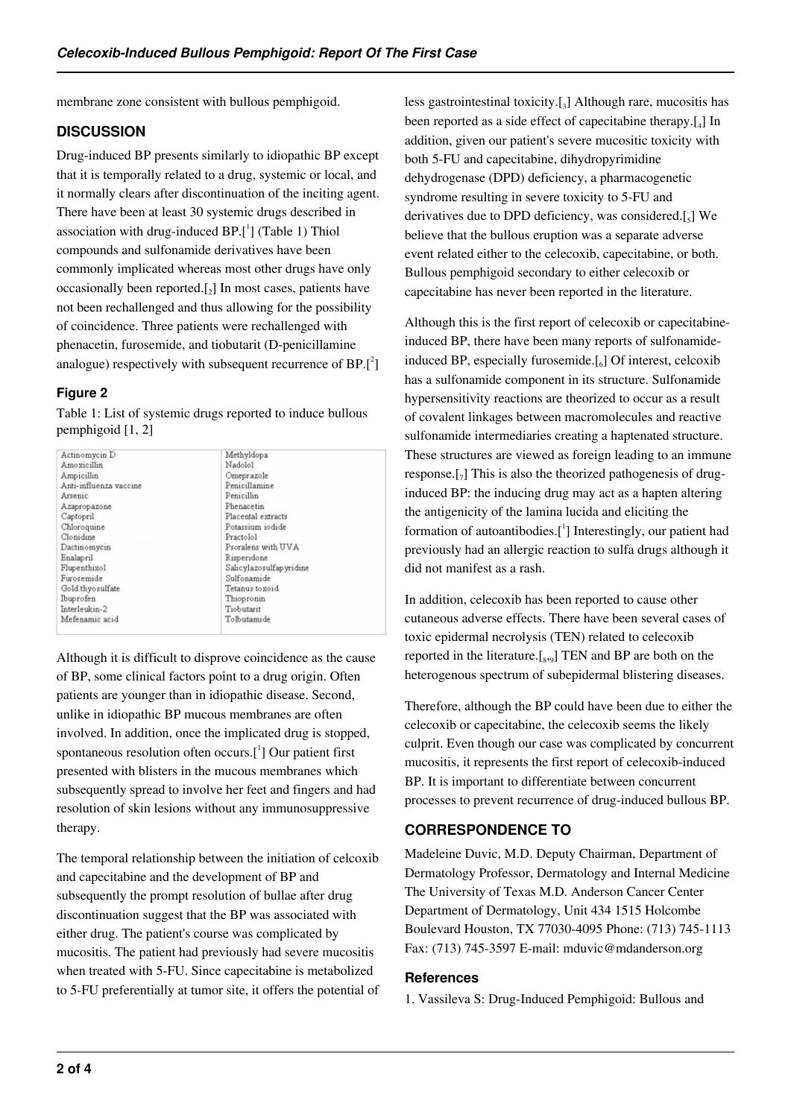membrane zone consistent with bullous pemphigoid.

## **DISCUSSION**

Drug-induced BP presents similarly to idiopathic BP except that it is temporally related to a drug, systemic or local, and it normally clears after discontinuation of the inciting agent. There have been at least 30 systemic drugs described in association with drug-induced  $BP.[^1]$  (Table 1) Thiol compounds and sulfonamide derivatives have been commonly implicated whereas most other drugs have only occasionally been reported. $_{2}$ ] In most cases, patients have not been rechallenged and thus allowing for the possibility of coincidence. Three patients were rechallenged with phenacetin, furosemide, and tiobutarit (D-penicillamine analogue) respectively with subsequent recurrence of  $BP.[^2]$ 

## **Figure 2**

Table 1: List of systemic drugs reported to induce bullous pemphigoid [1, 2]

| Actinomycin D          | Methyldopa              |
|------------------------|-------------------------|
| Amoxicillin            | Nadolol                 |
| Ampicillin             | Omeprazole              |
| Anti-influenza vaccine | Penicillamine           |
| Arsenic                | Penicillin              |
| Azapropazone           | Phenacetin              |
| Captopril              | Placental extracts      |
| Chloroquine            | Potassium iodide        |
| Clonidine              | Practolol               |
| Dactinomycin           | Psoralens with UVA      |
| Enalapril              | Risperidone             |
| Flupenthixol           | Salicylazosulfapyridine |
| Furosemide             | Sulfonamide             |
| Gold thyo sulfate      | Tetanus toxoid          |
| Ibuprofen              | Thiopronin              |
| Interleukin-2          | Tiobutarit              |
| Mefenamic acid         | Tolbutamide             |

Although it is difficult to disprove coincidence as the cause of BP, some clinical factors point to a drug origin. Often patients are younger than in idiopathic disease. Second, unlike in idiopathic BP mucous membranes are often involved. In addition, once the implicated drug is stopped, spontaneous resolution often occurs. $[$ <sup>1</sup>] Our patient first presented with blisters in the mucous membranes which subsequently spread to involve her feet and fingers and had resolution of skin lesions without any immunosuppressive therapy.

The temporal relationship between the initiation of celcoxib and capecitabine and the development of BP and subsequently the prompt resolution of bullae after drug discontinuation suggest that the BP was associated with either drug. The patient's course was complicated by mucositis. The patient had previously had severe mucositis when treated with 5-FU. Since capecitabine is metabolized to 5-FU preferentially at tumor site, it offers the potential of

less gastrointestinal toxicity.[<sup>3</sup> ] Although rare, mucositis has been reported as a side effect of capecitabine therapy.[4] In addition, given our patient's severe mucositic toxicity with both 5-FU and capecitabine, dihydropyrimidine dehydrogenase (DPD) deficiency, a pharmacogenetic syndrome resulting in severe toxicity to 5-FU and derivatives due to DPD deficiency, was considered. $[\,_5]$  We believe that the bullous eruption was a separate adverse event related either to the celecoxib, capecitabine, or both. Bullous pemphigoid secondary to either celecoxib or capecitabine has never been reported in the literature.

Although this is the first report of celecoxib or capecitabineinduced BP, there have been many reports of sulfonamideinduced BP, especially furosemide.[6] Of interest, celcoxib has a sulfonamide component in its structure. Sulfonamide hypersensitivity reactions are theorized to occur as a result of covalent linkages between macromolecules and reactive sulfonamide intermediaries creating a haptenated structure. These structures are viewed as foreign leading to an immune response. $\left[\begin{smallmatrix}7\end{smallmatrix}\right]$  This is also the theorized pathogenesis of druginduced BP: the inducing drug may act as a hapten altering the antigenicity of the lamina lucida and eliciting the formation of autoantibodies.<sup>[1</sup>] Interestingly, our patient had previously had an allergic reaction to sulfa drugs although it did not manifest as a rash.

In addition, celecoxib has been reported to cause other cutaneous adverse effects. There have been several cases of toxic epidermal necrolysis (TEN) related to celecoxib reported in the literature. $[s_{,9}]$  TEN and BP are both on the heterogenous spectrum of subepidermal blistering diseases.

Therefore, although the BP could have been due to either the celecoxib or capecitabine, the celecoxib seems the likely culprit. Even though our case was complicated by concurrent mucositis, it represents the first report of celecoxib-induced BP. It is important to differentiate between concurrent processes to prevent recurrence of drug-induced bullous BP.

# **CORRESPONDENCE TO**

Madeleine Duvic, M.D. Deputy Chairman, Department of Dermatology Professor, Dermatology and Internal Medicine The University of Texas M.D. Anderson Cancer Center Department of Dermatology, Unit 434 1515 Holcombe Boulevard Houston, TX 77030-4095 Phone: (713) 745-1113 Fax: (713) 745-3597 E-mail: mduvic@mdanderson.org

#### **References**

1. Vassileva S: Drug-Induced Pemphigoid: Bullous and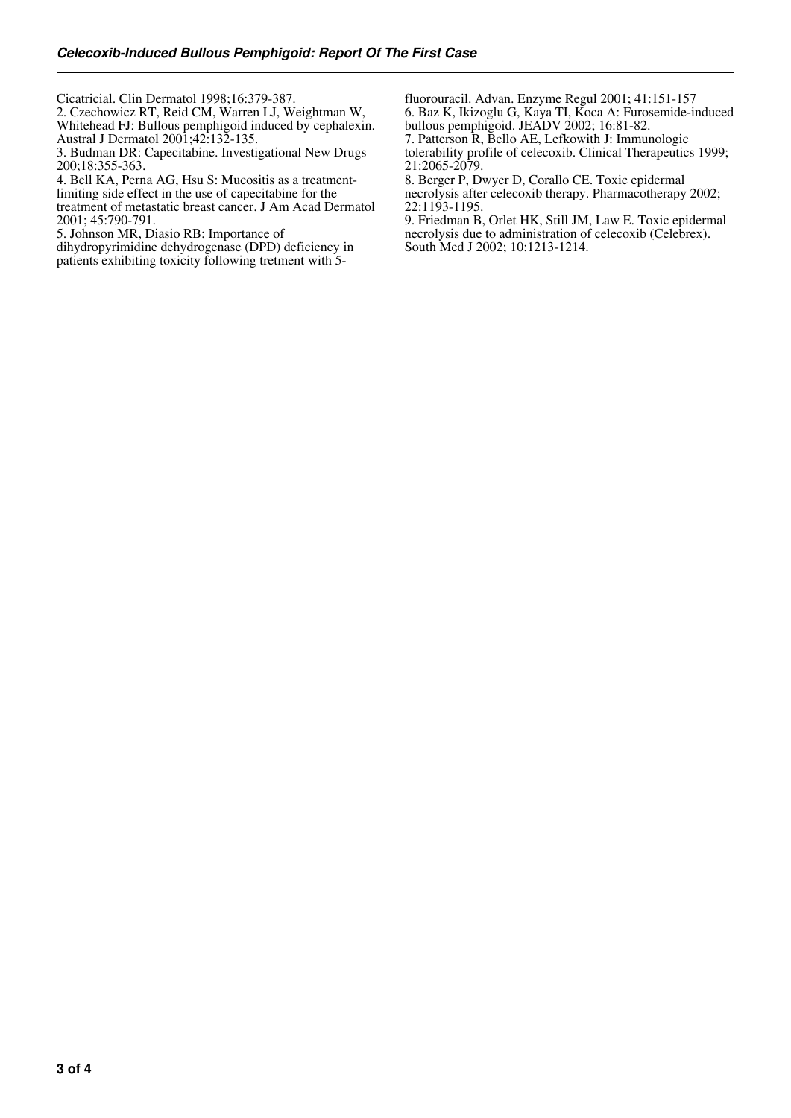Cicatricial. Clin Dermatol 1998;16:379-387.

2. Czechowicz RT, Reid CM, Warren LJ, Weightman W, Whitehead FJ: Bullous pemphigoid induced by cephalexin. Austral J Dermatol 2001;42:132-135.

3. Budman DR: Capecitabine. Investigational New Drugs 200;18:355-363.

4. Bell KA, Perna AG, Hsu S: Mucositis as a treatment-

limiting side effect in the use of capecitabine for the treatment of metastatic breast cancer. J Am Acad Dermatol 2001; 45:790-791.

5. Johnson MR, Diasio RB: Importance of

dihydropyrimidine dehydrogenase (DPD) deficiency in patients exhibiting toxicity following tretment with 5fluorouracil. Advan. Enzyme Regul 2001; 41:151-157 6. Baz K, Ikizoglu G, Kaya TI, Koca A: Furosemide-induced bullous pemphigoid. JEADV 2002; 16:81-82.

7. Patterson R, Bello AE, Lefkowith J: Immunologic

tolerability profile of celecoxib. Clinical Therapeutics 1999; 21:2065-2079.

8. Berger P, Dwyer D, Corallo CE. Toxic epidermal necrolysis after celecoxib therapy. Pharmacotherapy 2002; 22:1193-1195.

9. Friedman B, Orlet HK, Still JM, Law E. Toxic epidermal necrolysis due to administration of celecoxib (Celebrex). South Med J 2002; 10:1213-1214.